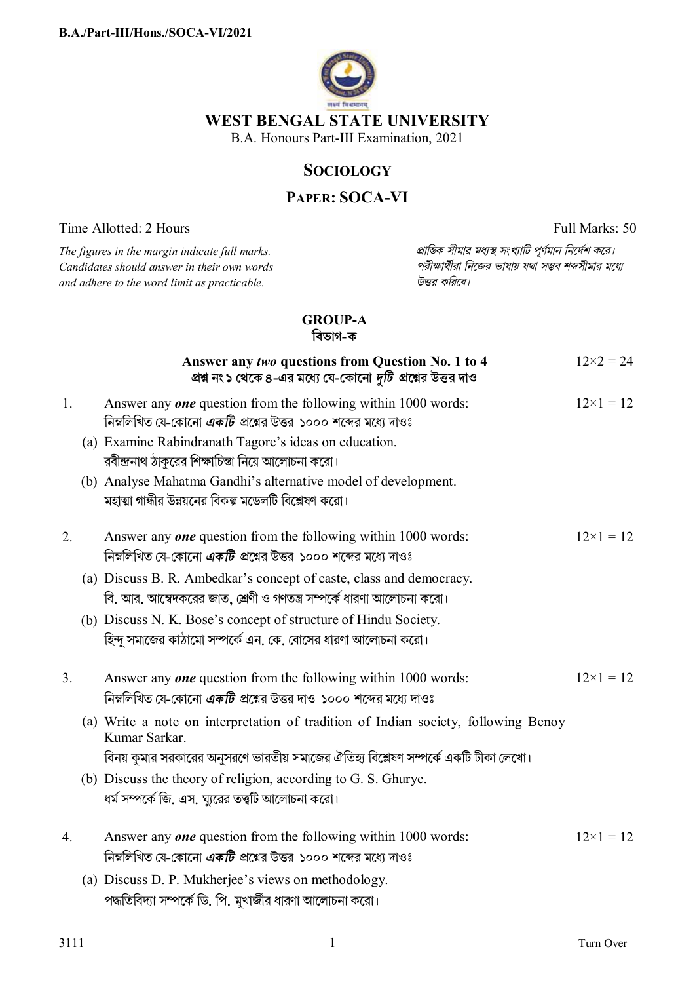

## **SOCIOLOGY**

# **PAPER: SOCA-VI**

Time Allotted: 2 Hours Full Marks: 50

*Candidates should answer in their own words পরীkাথীরা িনেজর ভাষায় যথা সmব শbসীমার মেধ° and adhere to the word limit as practicable. উtর কিরেব।*

*The figures in the margin indicate full marks. pািnক সীমার মধ°s সংখ°ািট পূণমান িনেদশ কের।*

## **GROUP-A**

**িবভাগ-ক**

|    | Answer any two questions from Question No. 1 to 4<br>প্রশ্ন নং১ থেকে ৪-এর মধ্যে যে-কোনো দুটি প্রশ্নের উত্তর দাও                                  | $12\times2 = 24$ |
|----|--------------------------------------------------------------------------------------------------------------------------------------------------|------------------|
| 1. | Answer any <i>one</i> question from the following within 1000 words:<br>নিম্নলিখিত যে-কোনো <i>একটি</i> প্রশ্নের উত্তর ১০০০ শব্দের মধ্যে দাওঃ     | $12\times1=12$   |
|    | (a) Examine Rabindranath Tagore's ideas on education.<br>রবীন্দ্রনাথ ঠাকুরের শিক্ষাচিন্তা নিয়ে আলোচনা করো।                                      |                  |
|    | (b) Analyse Mahatma Gandhi's alternative model of development.<br>মহাত্মা গান্ধীর উন্নয়নের বিকল্প মডেলটি বিশ্লেষণ করো।                          |                  |
| 2. | Answer any <i>one</i> question from the following within 1000 words:<br>নিম্নলিখিত যে-কোনো <i>একটি</i> প্রশ্নের উত্তর ১০০০ শব্দের মধ্যে দাওঃ     | $12\times1=12$   |
|    | (a) Discuss B. R. Ambedkar's concept of caste, class and democracy.<br>বি. আর. আম্বেদকরের জাত, শ্রেণী ও গণতন্ত্র সম্পর্কে ধারণা আলোচনা করো।      |                  |
|    | (b) Discuss N. K. Bose's concept of structure of Hindu Society.<br>হিন্দু সমাজের কাঠামো সম্পর্কে এন. কে. বোসের ধারণা আলোচনা করো।                 |                  |
| 3. | Answer any <i>one</i> question from the following within 1000 words:<br>নিম্নলিখিত যে-কোনো <i>একটি</i> প্রশ্নের উত্তর দাও ১০০০ শব্দের মধ্যে দাওঃ | $12\times1=12$   |
|    | (a) Write a note on interpretation of tradition of Indian society, following Benoy<br>Kumar Sarkar.                                              |                  |
|    | বিনয় কুমার সরকারের অনুসরণে ভারতীয় সমাজের ঐতিহ্য বিশ্লেষণ সম্পর্কে একটি টীকা লেখো।                                                              |                  |
|    | (b) Discuss the theory of religion, according to G. S. Ghurye.<br>ধর্ম সম্পর্কে জি. এস. ঘ্যুরের তত্ত্বটি আলোচনা করো।                             |                  |
| 4. | Answer any <i>one</i> question from the following within 1000 words:<br>নিম্নলিখিত যে-কোনো <i>একটি</i> প্রশ্নের উত্তর ১০০০ শব্দের মধ্যে দাওঃ     | $12\times1=12$   |
|    | (a) Discuss D. P. Mukherjee's views on methodology.                                                                                              |                  |
|    | পদ্ধতিবিদ্যা সম্পর্কে ডি. পি. মুখার্জীর ধারণা আলোচনা করো।                                                                                        |                  |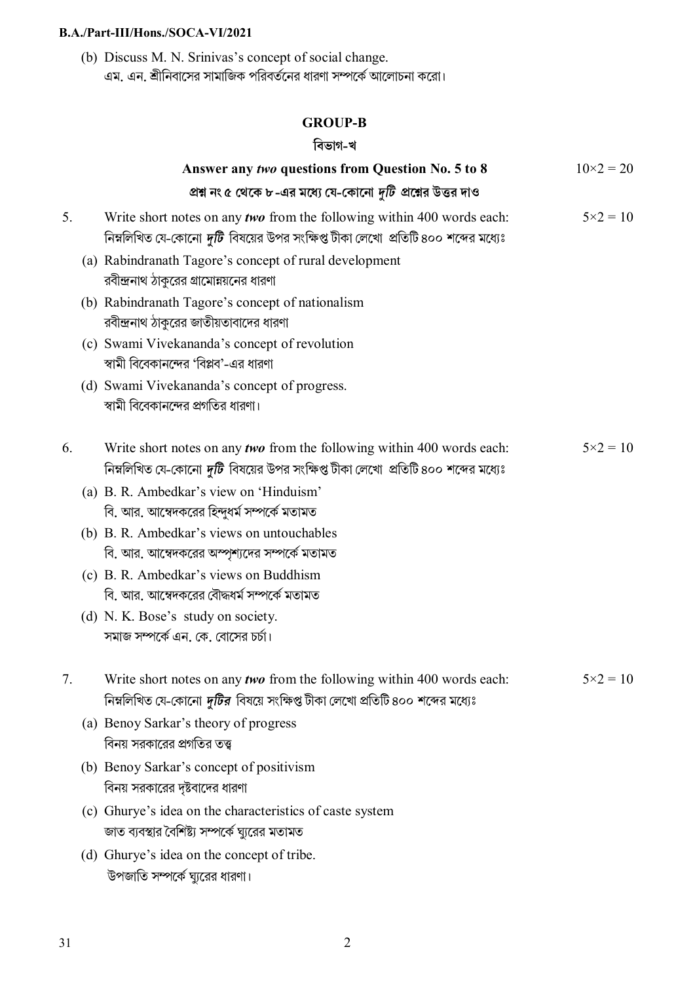### **B.A./Part-III/Hons./SOCA-VI/2021**

(b) Discuss M. N. Srinivas's concept of social change. এম. এন. শ্রীনিবাসের সামাজিক পরিবর্তনের ধারণা সম্পর্কে আলোচনা করো।

## **GROUP-B**

## **িবভাগ-খ**

|    | Answer any two questions from Question No. 5 to 8                                                                                                                   | $10\times2 = 20$  |
|----|---------------------------------------------------------------------------------------------------------------------------------------------------------------------|-------------------|
|    | প্রশ্ন নং ৫ থেকে ৮-এর মধ্যে যে-কোনো দুটি প্রশ্নের উত্তর দাও                                                                                                         |                   |
| 5. | Write short notes on any two from the following within 400 words each:<br>নিম্নলিখিত যে-কোনো <i>দুটি</i> বিষয়ের উপর সংক্ষিপ্ত টীকা লেখো  প্রতিটি ৪০০ শব্দের মধ্যেঃ | $5 \times 2 = 10$ |
|    | (a) Rabindranath Tagore's concept of rural development<br>রবীন্দ্রনাথ ঠাকুরের গ্রামোন্নয়নের ধারণা                                                                  |                   |
|    | (b) Rabindranath Tagore's concept of nationalism<br>রবীন্দ্রনাথ ঠাকুরের জাতীয়তাবাদের ধারণা                                                                         |                   |
|    | (c) Swami Vivekananda's concept of revolution<br>স্বামী বিবেকানন্দের 'বিপ্লব'-এর ধারণা                                                                              |                   |
|    | (d) Swami Vivekananda's concept of progress.<br>স্বামী বিবেকানন্দের প্রগতির ধারণা।                                                                                  |                   |
| 6. | Write short notes on any two from the following within 400 words each:<br>নিম্নলিখিত যে-কোনো <i>দুটি</i> বিষয়ের উপর সংক্ষিপ্ত টীকা লেখো  প্রতিটি ৪০০ শব্দের মধ্যেঃ | $5 \times 2 = 10$ |
|    | (a) B. R. Ambedkar's view on 'Hinduism'<br>বি. আর. আম্বেদকরের হিন্দুধর্ম সম্পর্কে মতামত                                                                             |                   |
|    | (b) B. R. Ambedkar's views on untouchables<br>বি. আর. আম্বেদকরের অস্পৃশ্যদের সম্পর্কে মতামত                                                                         |                   |
|    | (c) B. R. Ambedkar's views on Buddhism<br>বি. আর. আম্বেদকরের বৌদ্ধধর্ম সম্পর্কে মতামত                                                                               |                   |
|    | (d) N. K. Bose's study on society.<br>সমাজ সম্পর্কে এন. কে. বোসের চর্চা।                                                                                            |                   |
|    | Write short notes on any two from the following within 400 words each:<br>নিম্নলিখিত যে-কোনো <i>দুটির</i> বিষয়ে সংক্ষিপ্ত টীকা লেখো প্রতিটি ৪০০ শব্দের মধ্যেঃ      | $5 \times 2 = 10$ |
|    | (a) Benoy Sarkar's theory of progress<br>বিনয় সরকারের প্রগতির তত্ত্ব                                                                                               |                   |
|    | (b) Benoy Sarkar's concept of positivism<br>বিনয় সরকারের দৃষ্টবাদের ধারণা                                                                                          |                   |
|    | (c) Ghurye's idea on the characteristics of caste system<br>জাত ব্যবস্থার বৈশিষ্ট্য সম্পর্কে ঘ্যুরের মতামত                                                          |                   |
|    | (d) Ghurye's idea on the concept of tribe.<br>উপজাতি সম্পর্কে ঘ্যুরের ধারণা।                                                                                        |                   |